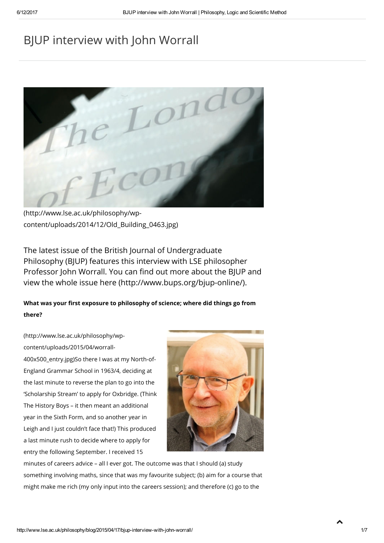# BJUP interview with John Worrall



(http://www.lse.ac.uk/philosophy/wp[content/uploads/2014/12/Old\\_Building\\_0463.jpg\)](http://www.lse.ac.uk/philosophy/wp-content/uploads/2014/12/Old_Building_0463.jpg)

The latest issue of the British Journal of Undergraduate Philosophy (BJUP) features this interview with LSE philosopher Professor John Worrall. You can find out more about the BJUP and view the whole issue here [\(http://www.bups.org/bjup-online/\)](http://www.bups.org/bjup-online/).

## What was your first exposure to philosophy of science; where did things go from there?

[\(http://www.lse.ac.uk/philosophy/wp](http://www.lse.ac.uk/philosophy/wp-content/uploads/2015/04/worrall-400x500_entry.jpg)content/uploads/2015/04/worrall-

400x500\_entry.jpg)So there I was at my North-of-England Grammar School in 1963/4, deciding at the last minute to reverse the plan to go into the 'Scholarship Stream' to apply for Oxbridge. (Think The History Boys – it then meant an additional year in the Sixth Form, and so another year in Leigh and I just couldn't face that!) This produced a last minute rush to decide where to apply for entry the following September. I received 15



minutes of careers advice – all I ever got. The outcome was that I should (a) study something involving maths, since that was my favourite subject; (b) aim for a course that might make me rich (my only input into the careers session); and therefore (c) go to the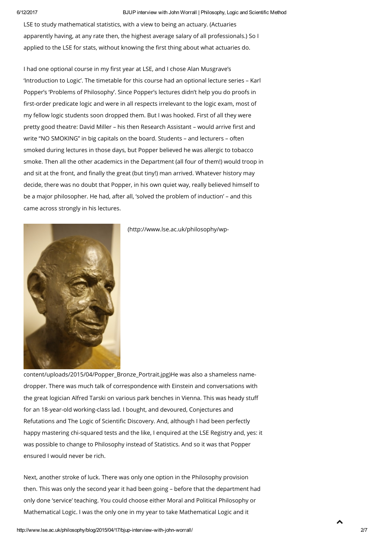6/12/2017 BJUP interview with John Worrall | Philosophy, Logic and Scientific Method

LSE to study mathematical statistics, with a view to being an actuary. (Actuaries apparently having, at any rate then, the highest average salary of all professionals.) So I applied to the LSE for stats, without knowing the first thing about what actuaries do.

I had one optional course in my first year at LSE, and I chose Alan Musgrave's 'Introduction to Logic'. The timetable for this course had an optional lecture series – Karl Popper's 'Problems of Philosophy'. Since Popper's lectures didn't help you do proofs in first-order predicate logic and were in all respects irrelevant to the logic exam, most of my fellow logic students soon dropped them. But I was hooked. First of all they were pretty good theatre: David Miller – his then Research Assistant – would arrive first and write "NO SMOKING" in big capitals on the board. Students – and lecturers – often smoked during lectures in those days, but Popper believed he was allergic to tobacco smoke. Then all the other academics in the Department (all four of them!) would troop in and sit at the front, and finally the great (but tiny!) man arrived. Whatever history may decide, there was no doubt that Popper, in his own quiet way, really believed himself to be a major philosopher. He had, after all, 'solved the problem of induction' – and this came across strongly in his lectures.



(http://www.lse.ac.uk/philosophy/wp-

[content/uploads/2015/04/Popper\\_Bronze\\_Portrait.jpg\)He](http://www.lse.ac.uk/philosophy/wp-content/uploads/2015/04/Popper_Bronze_Portrait.jpg) was also a shameless namedropper. There was much talk of correspondence with Einstein and conversations with the great logician Alfred Tarski on various park benches in Vienna. This was heady stuff for an 18-year-old working-class lad. I bought, and devoured, Conjectures and Refutations and The Logic of Scientific Discovery. And, although I had been perfectly happy mastering chi-squared tests and the like, I enquired at the LSE Registry and, yes: it was possible to change to Philosophy instead of Statistics. And so it was that Popper ensured I would never be rich.

Next, another stroke of luck. There was only one option in the Philosophy provision then. This was only the second year it had been going – before that the department had only done 'service' teaching. You could choose either Moral and Political Philosophy or Mathematical Logic. I was the only one in my year to take Mathematical Logic and it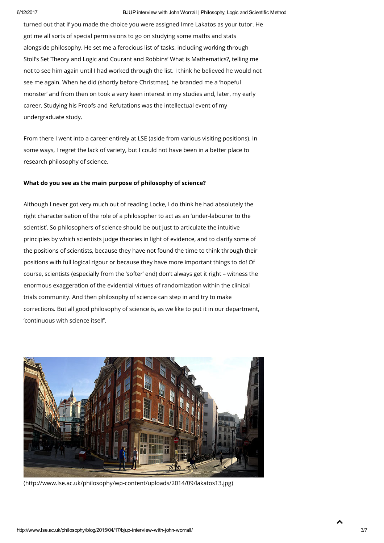turned out that if you made the choice you were assigned Imre Lakatos as your tutor. He got me all sorts of special permissions to go on studying some maths and stats alongside philosophy. He set me a ferocious list of tasks, including working through Stoll's Set Theory and Logic and Courant and Robbins' What is Mathematics?, telling me not to see him again until I had worked through the list. I think he believed he would not see me again. When he did (shortly before Christmas), he branded me a 'hopeful monster' and from then on took a very keen interest in my studies and, later, my early career. Studying his Proofs and Refutations was the intellectual event of my undergraduate study.

From there I went into a career entirely at LSE (aside from various visiting positions). In some ways, I regret the lack of variety, but I could not have been in a better place to research philosophy of science.

#### What do you see as the main purpose of philosophy of science?

Although I never got very much out of reading Locke, I do think he had absolutely the right characterisation of the role of a philosopher to act as an 'under-labourer to the scientist'. So philosophers of science should be out just to articulate the intuitive principles by which scientists judge theories in light of evidence, and to clarify some of the positions of scientists, because they have not found the time to think through their positions with full logical rigour or because they have more important things to do! Of course, scientists (especially from the 'softer' end) don't always get it right – witness the enormous exaggeration of the evidential virtues of randomization within the clinical trials community. And then philosophy of science can step in and try to make corrections. But all good philosophy of science is, as we like to put it in our department, 'continuous with science itself'.



[\(http://www.lse.ac.uk/philosophy/wp-content/uploads/2014/09/lakatos13.jpg\)](http://www.lse.ac.uk/philosophy/wp-content/uploads/2014/09/lakatos13.jpg)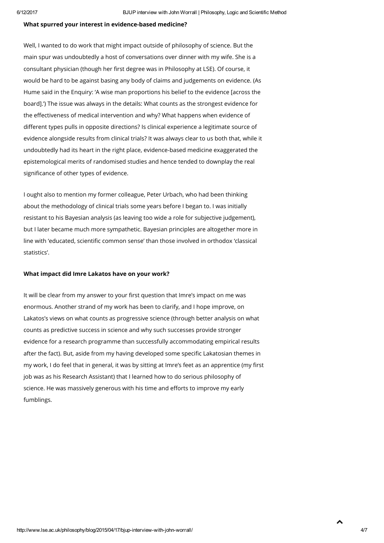### What spurred your interest in evidence-based medicine?

Well, I wanted to do work that might impact outside of philosophy of science. But the main spur was undoubtedly a host of conversations over dinner with my wife. She is a consultant physician (though her first degree was in Philosophy at LSE). Of course, it would be hard to be against basing any body of claims and judgements on evidence. (As Hume said in the Enquiry: 'A wise man proportions his belief to the evidence [across the board].') The issue was always in the details: What counts as the strongest evidence for the effectiveness of medical intervention and why? What happens when evidence of different types pulls in opposite directions? Is clinical experience a legitimate source of evidence alongside results from clinical trials? It was always clear to us both that, while it undoubtedly had its heart in the right place, evidence-based medicine exaggerated the epistemological merits of randomised studies and hence tended to downplay the real significance of other types of evidence.

I ought also to mention my former colleague, Peter Urbach, who had been thinking about the methodology of clinical trials some years before I began to. I was initially resistant to his Bayesian analysis (as leaving too wide a role for subjective judgement), but I later became much more sympathetic. Bayesian principles are altogether more in line with 'educated, scientific common sense' than those involved in orthodox 'classical statistics'.

#### What impact did Imre Lakatos have on your work?

It will be clear from my answer to your first question that Imre's impact on me was enormous. Another strand of my work has been to clarify, and I hope improve, on Lakatos's views on what counts as progressive science (through better analysis on what counts as predictive success in science and why such successes provide stronger evidence for a research programme than successfully accommodating empirical results after the fact). But, aside from my having developed some specific Lakatosian themes in my work, I do feel that in general, it was by sitting at Imre's feet as an apprentice (my first job was as his Research Assistant) that I learned how to do serious philosophy of science. He was massively generous with his time and efforts to improve my early fumblings.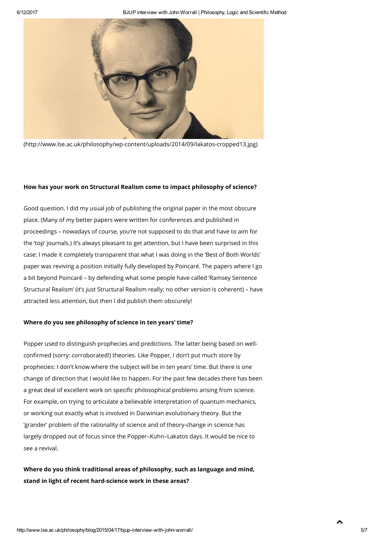

[\(http://www.lse.ac.uk/philosophy/wp-content/uploads/2014/09/lakatos-cropped13.jpg\)](http://www.lse.ac.uk/philosophy/wp-content/uploads/2014/09/lakatos-cropped13.jpg)

#### How has your work on Structural Realism come to impact philosophy of science?

Good question. I did my usual job of publishing the original paper in the most obscure place. (Many of my better papers were written for conferences and published in proceedings – nowadays of course, you're not supposed to do that and have to aim for the 'top' journals.) It's always pleasant to get attention, but I have been surprised in this case: I made it completely transparent that what I was doing in the 'Best of Both Worlds' paper was reviving a position initially fully developed by Poincaré. The papers where I go a bit beyond Poincaré – by defending what some people have called 'Ramsey Sentence Structural Realism' (it's just Structural Realism really; no other version is coherent) – have attracted less attention, but then I did publish them obscurely!

#### Where do you see philosophy of science in ten years' time?

Popper used to distinguish prophecies and predictions. The latter being based on wellconfirmed (sorry: corroborated!) theories. Like Popper, I don't put much store by prophecies: I don't know where the subject will be in ten years' time. But there is one change of direction that I would like to happen. For the past few decades there has been a great deal of excellent work on specific philosophical problems arising from science. For example, on trying to articulate a believable interpretation of quantum mechanics, or working out exactly what is involved in Darwinian evolutionary theory. But the 'grander' problem of the rationality of science and of theory-change in science has largely dropped out of focus since the Popper–Kuhn–Lakatos days. It would be nice to see a revival.

## Where do you think traditional areas of philosophy, such as language and mind, stand in light of recent hard-science work in these areas?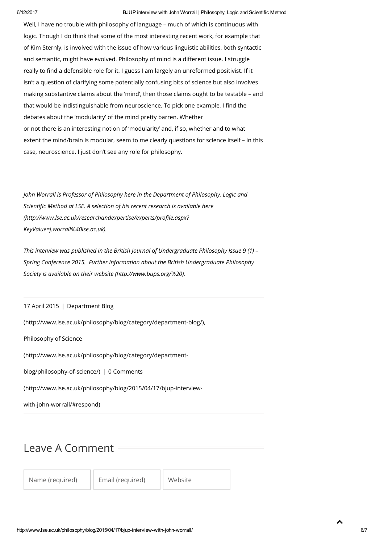### 6/12/2017 BJUP interview with John Worrall | Philosophy, Logic and Scientific Method

Well, I have no trouble with philosophy of language – much of which is continuous with logic. Though I do think that some of the most interesting recent work, for example that of Kim Sternly, is involved with the issue of how various linguistic abilities, both syntactic and semantic, might have evolved. Philosophy of mind is a different issue. I struggle really to find a defensible role for it. I guess I am largely an unreformed positivist. If it isn't a question of clarifying some potentially confusing bits of science but also involves making substantive claims about the 'mind', then those claims ought to be testable – and that would be indistinguishable from neuroscience. To pick one example, I find the debates about the 'modularity' of the mind pretty barren. Whether or not there is an interesting notion of 'modularity' and, if so, whether and to what extent the mind/brain is modular, seem to me clearly questions for science itself – in this case, neuroscience. I just don't see any role for philosophy.

John Worrall is Professor of Philosophy here in the Department of Philosophy, Logic and Scientific Method at LSE. A selection of his recent research is available here (http://www.lse.ac.uk/researchandexpertise/experts/profile.aspx? KeyValue=j.worrall%40lse.ac.uk).

This interview was published in the British Journal of Undergraduate Philosophy Issue 9 (1) -Spring Conference 2015. Further information about the British Undergraduate Philosophy Society is available on their website [\(http://www.bups.org/%20\).](http://www.bups.org/%20)

### 17 April 2015 | Department Blog

[\(http://www.lse.ac.uk/philosophy/blog/category/department-blog/\),](http://www.lse.ac.uk/philosophy/blog/category/department-blog/)

Philosophy of Science

[\(http://www.lse.ac.uk/philosophy/blog/category/department-](http://www.lse.ac.uk/philosophy/blog/category/department-blog/philosophy-of-science/)

blog/philosophy-of-science/) | 0 Comments

[\(http://www.lse.ac.uk/philosophy/blog/2015/04/17/bjup-interview-](#page-5-0)

with-john-worrall/#respond)

# <span id="page-5-0"></span>Leave A Comment

Name (required) | Email (required) | Website